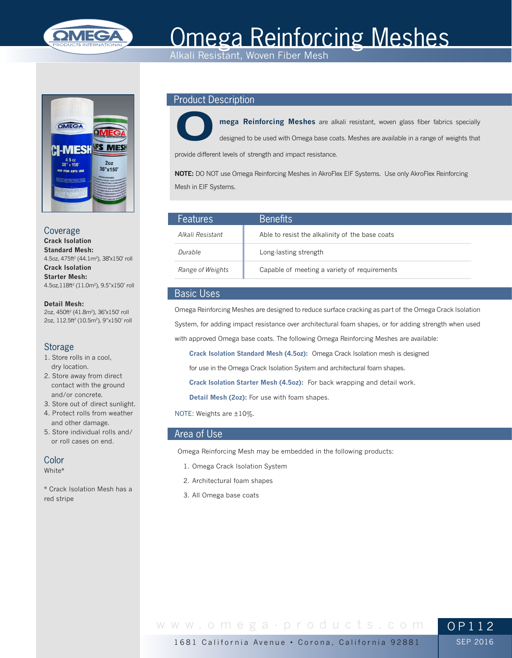

# Omega Reinforcing Meshes

Alkali Resistant, Woven Fiber Mesh



Coverage **Crack Isolation Standard Mesh:** 4.5oz, 475ft<sup>2</sup> (44.1m<sup>2</sup>), 38"x150' roll **Crack Isolation Starter Mesh:** 4.5oz,118ft2 (11.0m2), 9.5"x150' roll

**Detail Mesh:** 2oz, 450ft2 (41.8m2), 36"x150' roll 2oz, 112.5ft<sup>2</sup> (10.5m<sup>2</sup>), 9"x150' roll

# Storage

- 1. Store rolls in a cool, dry location.
- 2. Store away from direct contact with the ground and/or concrete.
- 3. Store out of direct sunlight.
- 4. Protect rolls from weather and other damage.
- 5. Store individual rolls and/ or roll cases on end.

# **Color**

White\*

\* Crack Isolation Mesh has a red stripe

# Product Description



**mega Reinforcing Meshes** are alkali resistant, woven glass fiber fabrics specially designed to be used with Omega base coats. Meshes are available in a range of weights that

provide different levels of strength and impact resistance.

**NOTE:** DO NOT use Omega Reinforcing Meshes in AkroFlex EIF Systems. Use only AkroFlex Reinforcing Mesh in EIF Systems.

| <b>Features</b>  | <b>Benefits</b>                                 |
|------------------|-------------------------------------------------|
| Alkali Resistant | Able to resist the alkalinity of the base coats |
| Durable          | Long-lasting strength                           |
| Range of Weights | Capable of meeting a variety of requirements    |

# Basic Uses

Omega Reinforcing Meshes are designed to reduce surface cracking as part of the Omega Crack Isolation System, for adding impact resistance over architectural foam shapes, or for adding strength when used with approved Omega base coats. The following Omega Reinforcing Meshes are available:

**Crack Isolation Standard Mesh (4.5oz):** Omega Crack Isolation mesh is designed

for use in the Omega Crack Isolation System and architectural foam shapes.

**Crack Isolation Starter Mesh (4.5oz):** For back wrapping and detail work.

**Detail Mesh (2oz):** For use with foam shapes.

NOTE: Weights are ±10%.

# Area of Use

Omega Reinforcing Mesh may be embedded in the following products:

- 1. Omega Crack Isolation System
- 2. Architectural foam shapes
- 3. All Omega base coats

www.omega-products.com OP112

1681 California Avenue • Corona, California 92881

SEP 2016